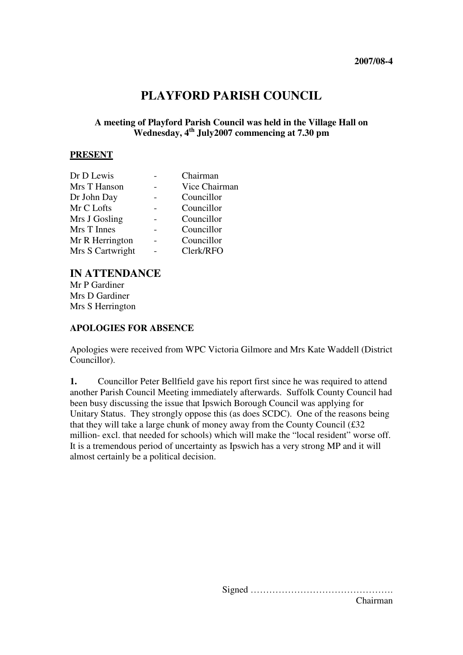# **PLAYFORD PARISH COUNCIL**

# **A meeting of Playford Parish Council was held in the Village Hall on Wednesday, 4th July2007 commencing at 7.30 pm**

#### **PRESENT**

| Dr D Lewis       | Chairman      |
|------------------|---------------|
| Mrs T Hanson     | Vice Chairman |
| Dr John Day      | Councillor    |
| Mr C Lofts       | Councillor    |
| Mrs J Gosling    | Councillor    |
| Mrs T Innes      | Councillor    |
| Mr R Herrington  | Councillor    |
| Mrs S Cartwright | Clerk/RFO     |
|                  |               |

# **IN ATTENDANCE**

Mr P Gardiner Mrs D Gardiner Mrs S Herrington

### **APOLOGIES FOR ABSENCE**

Apologies were received from WPC Victoria Gilmore and Mrs Kate Waddell (District Councillor).

**1.** Councillor Peter Bellfield gave his report first since he was required to attend another Parish Council Meeting immediately afterwards. Suffolk County Council had been busy discussing the issue that Ipswich Borough Council was applying for Unitary Status. They strongly oppose this (as does SCDC). One of the reasons being that they will take a large chunk of money away from the County Council (£32 million- excl. that needed for schools) which will make the "local resident" worse off. It is a tremendous period of uncertainty as Ipswich has a very strong MP and it will almost certainly be a political decision.

> Signed ………………………………………. Chairman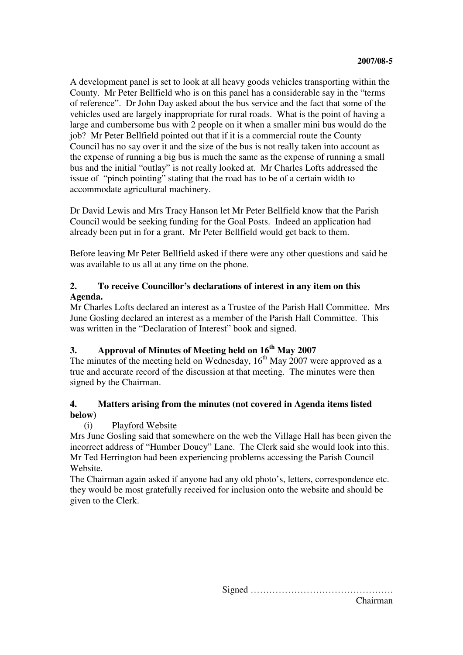A development panel is set to look at all heavy goods vehicles transporting within the County. Mr Peter Bellfield who is on this panel has a considerable say in the "terms of reference". Dr John Day asked about the bus service and the fact that some of the vehicles used are largely inappropriate for rural roads. What is the point of having a large and cumbersome bus with 2 people on it when a smaller mini bus would do the job? Mr Peter Bellfield pointed out that if it is a commercial route the County Council has no say over it and the size of the bus is not really taken into account as the expense of running a big bus is much the same as the expense of running a small bus and the initial "outlay" is not really looked at. Mr Charles Lofts addressed the issue of "pinch pointing" stating that the road has to be of a certain width to accommodate agricultural machinery.

Dr David Lewis and Mrs Tracy Hanson let Mr Peter Bellfield know that the Parish Council would be seeking funding for the Goal Posts. Indeed an application had already been put in for a grant. Mr Peter Bellfield would get back to them.

Before leaving Mr Peter Bellfield asked if there were any other questions and said he was available to us all at any time on the phone.

# **2. To receive Councillor's declarations of interest in any item on this Agenda.**

Mr Charles Lofts declared an interest as a Trustee of the Parish Hall Committee. Mrs June Gosling declared an interest as a member of the Parish Hall Committee. This was written in the "Declaration of Interest" book and signed.

# **3. Approval of Minutes of Meeting held on 16th May 2007**

The minutes of the meeting held on Wednesday,  $16<sup>th</sup>$  May 2007 were approved as a true and accurate record of the discussion at that meeting. The minutes were then signed by the Chairman.

# **4. Matters arising from the minutes (not covered in Agenda items listed below)**

# (i) Playford Website

Mrs June Gosling said that somewhere on the web the Village Hall has been given the incorrect address of "Humber Doucy" Lane. The Clerk said she would look into this. Mr Ted Herrington had been experiencing problems accessing the Parish Council Website.

The Chairman again asked if anyone had any old photo's, letters, correspondence etc. they would be most gratefully received for inclusion onto the website and should be given to the Clerk.

> Signed ………………………………………. Chairman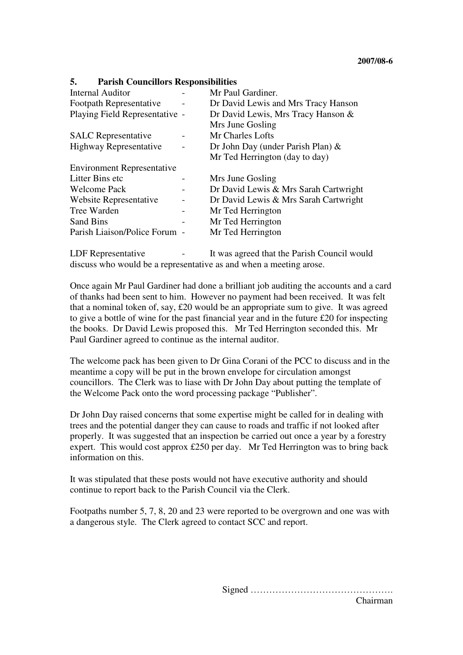#### **5. Parish Councillors Responsibilities**

| <b>Internal Auditor</b>           | Mr Paul Gardiner.                     |
|-----------------------------------|---------------------------------------|
| <b>Footpath Representative</b>    | Dr David Lewis and Mrs Tracy Hanson   |
| Playing Field Representative -    | Dr David Lewis, Mrs Tracy Hanson &    |
|                                   | Mrs June Gosling                      |
| <b>SALC</b> Representative        | Mr Charles Lofts                      |
| <b>Highway Representative</b>     | Dr John Day (under Parish Plan) $\&$  |
|                                   | Mr Ted Herrington (day to day)        |
| <b>Environment Representative</b> |                                       |
| Litter Bins etc                   | Mrs June Gosling                      |
| <b>Welcome Pack</b>               | Dr David Lewis & Mrs Sarah Cartwright |
| Website Representative            | Dr David Lewis & Mrs Sarah Cartwright |
| Tree Warden                       | Mr Ted Herrington                     |
| Sand Bins                         | Mr Ted Herrington                     |
| Parish Liaison/Police Forum -     | Mr Ted Herrington                     |
|                                   |                                       |

LDF Representative  $\qquad \qquad$  It was agreed that the Parish Council would discuss who would be a representative as and when a meeting arose.

Once again Mr Paul Gardiner had done a brilliant job auditing the accounts and a card of thanks had been sent to him. However no payment had been received. It was felt that a nominal token of, say, £20 would be an appropriate sum to give. It was agreed to give a bottle of wine for the past financial year and in the future £20 for inspecting the books. Dr David Lewis proposed this. Mr Ted Herrington seconded this. Mr Paul Gardiner agreed to continue as the internal auditor.

The welcome pack has been given to Dr Gina Corani of the PCC to discuss and in the meantime a copy will be put in the brown envelope for circulation amongst councillors. The Clerk was to liase with Dr John Day about putting the template of the Welcome Pack onto the word processing package "Publisher".

Dr John Day raised concerns that some expertise might be called for in dealing with trees and the potential danger they can cause to roads and traffic if not looked after properly. It was suggested that an inspection be carried out once a year by a forestry expert. This would cost approx £250 per day. Mr Ted Herrington was to bring back information on this.

It was stipulated that these posts would not have executive authority and should continue to report back to the Parish Council via the Clerk.

Footpaths number 5, 7, 8, 20 and 23 were reported to be overgrown and one was with a dangerous style. The Clerk agreed to contact SCC and report.

> Signed ………………………………………. Chairman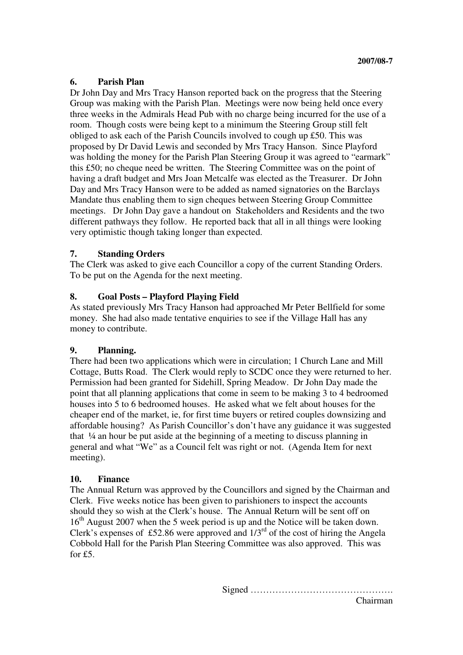#### **6. Parish Plan**

Dr John Day and Mrs Tracy Hanson reported back on the progress that the Steering Group was making with the Parish Plan. Meetings were now being held once every three weeks in the Admirals Head Pub with no charge being incurred for the use of a room. Though costs were being kept to a minimum the Steering Group still felt obliged to ask each of the Parish Councils involved to cough up £50. This was proposed by Dr David Lewis and seconded by Mrs Tracy Hanson. Since Playford was holding the money for the Parish Plan Steering Group it was agreed to "earmark" this £50; no cheque need be written. The Steering Committee was on the point of having a draft budget and Mrs Joan Metcalfe was elected as the Treasurer. Dr John Day and Mrs Tracy Hanson were to be added as named signatories on the Barclays Mandate thus enabling them to sign cheques between Steering Group Committee meetings. Dr John Day gave a handout on Stakeholders and Residents and the two different pathways they follow. He reported back that all in all things were looking very optimistic though taking longer than expected.

#### **7. Standing Orders**

The Clerk was asked to give each Councillor a copy of the current Standing Orders. To be put on the Agenda for the next meeting.

#### **8. Goal Posts – Playford Playing Field**

As stated previously Mrs Tracy Hanson had approached Mr Peter Bellfield for some money. She had also made tentative enquiries to see if the Village Hall has any money to contribute.

#### **9. Planning.**

There had been two applications which were in circulation; 1 Church Lane and Mill Cottage, Butts Road. The Clerk would reply to SCDC once they were returned to her. Permission had been granted for Sidehill, Spring Meadow. Dr John Day made the point that all planning applications that come in seem to be making 3 to 4 bedroomed houses into 5 to 6 bedroomed houses. He asked what we felt about houses for the cheaper end of the market, ie, for first time buyers or retired couples downsizing and affordable housing? As Parish Councillor's don't have any guidance it was suggested that  $\frac{1}{4}$  an hour be put aside at the beginning of a meeting to discuss planning in general and what "We" as a Council felt was right or not. (Agenda Item for next meeting).

#### **10. Finance**

The Annual Return was approved by the Councillors and signed by the Chairman and Clerk. Five weeks notice has been given to parishioners to inspect the accounts should they so wish at the Clerk's house. The Annual Return will be sent off on 16<sup>th</sup> August 2007 when the 5 week period is up and the Notice will be taken down. Clerk's expenses of £52.86 were approved and  $1/3^{rd}$  of the cost of hiring the Angela Cobbold Hall for the Parish Plan Steering Committee was also approved. This was for £5.

Signed ……………………………………….